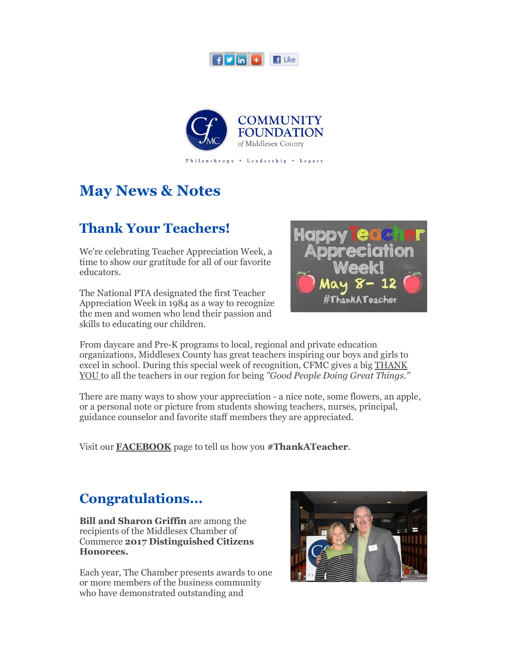



# **May News & Notes**

## **Thank Your Teachers!**

We're celebrating Teacher Appreciation Week, a time to show our gratitude for all of our favorite educators.

The National PTA designated the first Teacher Appreciation Week in 1984 as a way to recognize the men and women who lend their passion and skills to educating our children.



From daycare and Pre-K programs to local, regional and private education organizations, Middlesex County has great teachers inspiring our boys and girls to excel in school. During this special week of recognition, CFMC gives a big THANK YOU to all the teachers in our region for being *"Good People Doing Great Things."*

There are many ways to show your appreciation - a nice note, some flowers, an apple, or a personal note or picture from students showing teachers, nurses, principal, guidance counselor and favorite staff members they are appreciated.

Visit our **FACEBOOK** page to tell us how you **#ThankATeacher**.

## **Congratulations...**

**Bill and Sharon Griffin** are among the recipients of the Middlesex Chamber of Commerce **2017 Distinguished Citizens Honorees.** 

Each year, The Chamber presents awards to one or more members of the business community who have demonstrated outstanding and

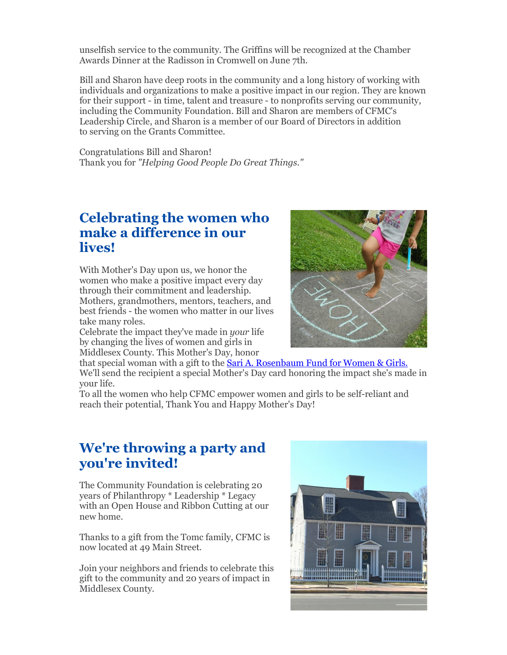unselfish service to the community. The Griffins will be recognized at the Chamber Awards Dinner at the Radisson in Cromwell on June 7th.

Bill and Sharon have deep roots in the community and a long history of working with individuals and organizations to make a positive impact in our region. They are known for their support - in time, talent and treasure - to nonprofits serving our community, including the Community Foundation. Bill and Sharon are members of CFMC's Leadership Circle, and Sharon is a member of our Board of Directors in addition to serving on the Grants Committee.

Congratulations Bill and Sharon! Thank you for *"Helping Good People Do Great Things."*

### **Celebrating the women who make a difference in our lives!**

With Mother's Day upon us, we honor the women who make a positive impact every day through their commitment and leadership. Mothers, grandmothers, mentors, teachers, and best friends - the women who matter in our lives take many roles.

Celebrate the impact they've made in *your* life by changing the lives of women and girls in Middlesex County. This Mother's Day, honor



that special woman with a gift to the **Sari A. Rosenbaum Fund for Women & Girls.** We'll send the recipient a special Mother's Day card honoring the impact she's made in your life.

To all the women who help CFMC empower women and girls to be self-reliant and reach their potential, Thank You and Happy Mother's Day!

### **We're throwing a party and you're invited!**

The Community Foundation is celebrating 20 years of Philanthropy \* Leadership \* Legacy with an Open House and Ribbon Cutting at our new home.

Thanks to a gift from the Tomc family, CFMC is now located at 49 Main Street.

Join your neighbors and friends to celebrate this gift to the community and 20 years of impact in Middlesex County.

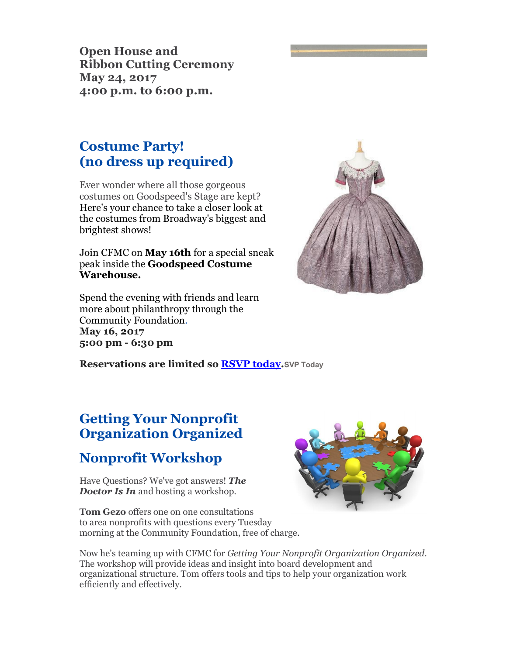**Open House and Ribbon Cutting Ceremony May 24, 2017 4:00 p.m. to 6:00 p.m.**

## **Costume Party! (no dress up required)**

Ever wonder where all those gorgeous costumes on Goodspeed's Stage are kept? Here's your chance to take a closer look at the costumes from Broadway's biggest and brightest shows!

Join CFMC on **May 16th** for a special sneak peak inside the **Goodspeed Costume Warehouse.** 

Spend the evening with friends and learn more about philanthropy through the Community Foundation. **May 16, 2017 5:00 pm - 6:30 pm**



**Reservations are limited so RSVP today.SVP Today**

## **Getting Your Nonprofit Organization Organized**

## **Nonprofit Workshop**

Have Questions? We've got answers! *The Doctor Is In* and hosting a workshop.

**Tom Gezo** offers one on one consultations to area nonprofits with questions every Tuesday morning at the Community Foundation, free of charge.



Now he's teaming up with CFMC for *Getting Your Nonprofit Organization Organized.*  The workshop will provide ideas and insight into board development and organizational structure. Tom offers tools and tips to help your organization work efficiently and effectively.